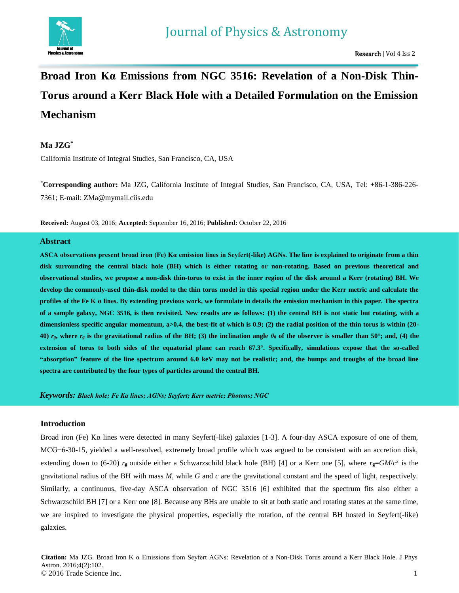

# **Broad Iron Kα Emissions from NGC 3516: Revelation of a Non-Disk Thin-Torus around a Kerr Black Hole with a Detailed Formulation on the Emission Mechanism**

# **Ma JZG\***

California Institute of Integral Studies, San Francisco, CA, USA

\***Corresponding author:** Ma JZG, California Institute of Integral Studies, San Francisco, CA, USA, Tel: +86-1-386-226- 7361; E-mail: ZMa@mymail.ciis.edu

**Received:** August 03, 2016; **Accepted:** September 16, 2016; **Published:** October 22, 2016

# **Abstract**

**ASCA observations present broad iron (Fe) Kα emission lines in Seyfert(-like) AGNs. The line is explained to originate from a thin disk surrounding the central black hole (BH) which is either rotating or non-rotating. Based on previous theoretical and observational studies, we propose a non-disk thin-torus to exist in the inner region of the disk around a Kerr (rotating) BH. We develop the commonly-used thin-disk model to the thin torus model in this special region under the Kerr metric and calculate the profiles of the Fe K α lines. By extending previous work, we formulate in details the emission mechanism in this paper. The spectra of a sample galaxy, NGC 3516, is then revisited. New results are as follows: (1) the central BH is not static but rotating, with a dimensionless specific angular momentum, a>0.4, the best-fit of which is 0.9; (2) the radial position of the thin torus is within (20- 40)**  $r_g$ , where  $r_g$  is the gravitational radius of the BH; (3) the inclination angle  $\theta_0$  of the observer is smaller than 50°; and, (4) the **extension of torus to both sides of the equatorial plane can reach 67.3°. Specifically, simulations expose that the so-called "absorption" feature of the line spectrum around 6.0 keV may not be realistic; and, the humps and troughs of the broad line spectra are contributed by the four types of particles around the central BH.**

*Keywords: Black hole; Fe Kα lines; AGNs; Seyfert; Kerr metric; Photons; NGC*

# **Introduction**

Broad iron (Fe) Kα lines were detected in many Seyfert(-like) galaxies [1-3]. A four-day ASCA exposure of one of them, MCG−6-30-15, yielded a well-resolved, extremely broad profile which was argued to be consistent with an accretion disk, extending down to (6-20)  $r_g$  outside either a Schwarzschild black hole (BH) [4] or a Kerr one [5], where  $r_g = GM/c^2$  is the gravitational radius of the BH with mass *M*, while *G* and *c* are the gravitational constant and the speed of light, respectively. Similarly, a continuous, five-day ASCA observation of NGC 3516 [6] exhibited that the spectrum fits also either a Schwarzschild BH [7] or a Kerr one [8]. Because any BHs are unable to sit at both static and rotating states at the same time, we are inspired to investigate the physical properties, especially the rotation, of the central BH hosted in Seyfert(-like) galaxies.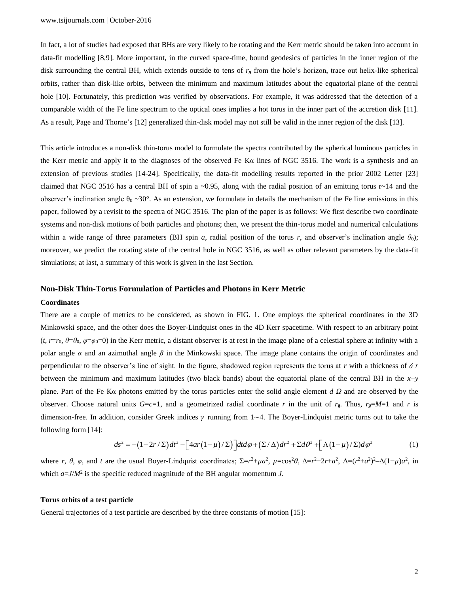In fact, a lot of studies had exposed that BHs are very likely to be rotating and the Kerr metric should be taken into account in data-fit modelling [8,9]. More important, in the curved space-time, bound geodesics of particles in the inner region of the disk surrounding the central BH, which extends outside to tens of *r<sup>g</sup>* from the hole's horizon, trace out helix-like spherical orbits, rather than disk-like orbits, between the minimum and maximum latitudes about the equatorial plane of the central hole [10]. Fortunately, this prediction was verified by observations. For example, it was addressed that the detection of a comparable width of the Fe line spectrum to the optical ones implies a hot torus in the inner part of the accretion disk [11]. As a result, Page and Thorne's [12] generalized thin-disk model may not still be valid in the inner region of the disk [13].

This article introduces a non-disk thin-torus model to formulate the spectra contributed by the spherical luminous particles in the Kerr metric and apply it to the diagnoses of the observed Fe K $\alpha$  lines of NGC 3516. The work is a synthesis and an extension of previous studies [14-24]. Specifically, the data-fit modelling results reported in the prior 2002 Letter [23] claimed that NGC 3516 has a central BH of spin a  $\sim$ 0.95, along with the radial position of an emitting torus r $\sim$ 14 and the observer's inclination angle  $\theta_0 \sim 30^\circ$ . As an extension, we formulate in details the mechanism of the Fe line emissions in this paper, followed by a revisit to the spectra of NGC 3516. The plan of the paper is as follows: We first describe two coordinate systems and non-disk motions of both particles and photons; then, we present the thin-torus model and numerical calculations within a wide range of three parameters (BH spin *a*, radial position of the torus *r*, and observer's inclination angle  $\theta_0$ ); moreover, we predict the rotating state of the central hole in NGC 3516, as well as other relevant parameters by the data-fit simulations; at last, a summary of this work is given in the last Section.

## **Non-Disk Thin-Torus Formulation of Particles and Photons in Kerr Metric**

#### **Coordinates**

There are a couple of metrics to be considered, as shown in FIG. 1. One employs the spherical coordinates in the 3D Minkowski space, and the other does the Boyer-Lindquist ones in the 4D Kerr spacetime. With respect to an arbitrary point  $(t, r=r_0, \theta=\theta_0, \varphi=\varphi_0=0)$  in the Kerr metric, a distant observer is at rest in the image plane of a celestial sphere at infinity with a polar angle *α* and an azimuthal angle *β* in the Minkowski space. The image plane contains the origin of coordinates and perpendicular to the observer's line of sight. In the figure, shadowed region represents the torus at *r* with a thickness of *δ r* between the minimum and maximum latitudes (two black bands) about the equatorial plane of the central BH in the *x*−*y* plane. Part of the Fe Kα photons emitted by the torus particles enter the solid angle element *d Ω* and are observed by the observer. Choose natural units  $G = c = 1$ , and a geometrized radial coordinate *r* in the unit of  $r_g$ . Thus,  $r_g = M = 1$  and *r* is dimension-free. In addition, consider Greek indices *γ* running from 1∼4. The Boyer-Lindquist metric turns out to take the following form [14]:<br>  $ds^2 = -(1-2r/\Sigma)dt^2 - [4ar(1-\mu)/\Sigma]dt d\varphi + (\Sigma/\Delta)dr^2 + \Sigma d\theta^2 + [\Lambda(1-\mu)/\Sigma)d\varphi^2$  (1) following form [14]: [ $4ar(1-\mu)/\Sigma$ ] $dt d\varphi + (\Sigma/\Delta) dr^2 + \Sigma d\theta^2 + [\Lambda(1-\mu)/\Sigma]$ 

$$
ds^{2} = -(1-2r/\Sigma)dt^{2} - \left[4ar(1-\mu)/\Sigma\right]dt d\varphi + (\Sigma/\Delta)dr^{2} + \Sigma d\theta^{2} + \left[\Lambda(1-\mu)/\Sigma\right]d\varphi^{2}
$$
 (1)

where r,  $\theta$ ,  $\varphi$ , and t are the usual Boyer-Lindquist coordinates;  $\Sigma = r^2 + \mu a^2$ ,  $\mu = \cos^2 \theta$ ,  $\Delta = r^2 - 2r + a^2$ ,  $\Lambda = (r^2 + a^2)^2 - \Delta(1 - \mu)a^2$ , in which *a*=*J*/*M*<sup>2</sup> is the specific reduced magnitude of the BH angular momentum *J*.

#### **Torus orbits of a test particle**

General trajectories of a test particle are described by the three constants of motion [15]: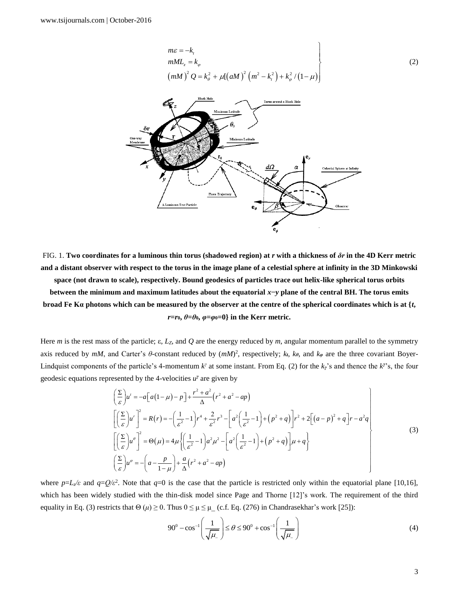$$
m\varepsilon = -k_t
$$
  
\n
$$
mML_z = k_\varphi
$$
  
\n
$$
(mM)^2 Q = k_\theta^2 + \mu[(aM)^2 (m^2 - k_t^2) + k_\varphi^2/(1-\mu)]
$$
\n(2)



FIG. 1. **Two coordinates for a luminous thin torus (shadowed region) at** *r* **with a thickness of** *δr* **in the 4D Kerr metric and a distant observer with respect to the torus in the image plane of a celestial sphere at infinity in the 3D Minkowski space (not drawn to scale), respectively. Bound geodesics of particles trace out helix-like spherical torus orbits between the minimum and maximum latitudes about the equatorial** *x***−***y* **plane of the central BH. The torus emits broad Fe Kα photons which can be measured by the observer at the centre of the spherical coordinates which is at {***t***,**   $r=r_0, \theta=0$ ,  $\varphi=\varphi_0=0$ } in the Kerr metric.

Here *m* is the rest mass of the particle; ε*, LZ*, and *Q* are the energy reduced by *m*, angular momentum parallel to the symmetry axis reduced by  $mM$ , and Carter's  $\theta$ -constant reduced by  $(mM)^2$ , respectively;  $k_t$ ,  $k_\theta$ , and  $k_\phi$  are the three covariant Boyer-Lindquist components of the particle's 4-momentum  $k^{\gamma}$  at some instant. From Eq. (2) for the  $k^{\gamma}$ 's and thence the  $k^{\gamma}$ 's, the four

geodesic equations represented by the 4-velocities *u*<sup>\*</sup> are given by  
\n
$$
\left(\frac{\sum}{\varepsilon}\right)u' = -a\left[a(1-\mu) - p\right] + \frac{r^2 + a^2}{\Delta}\left(r^2 + a^2 - ap\right)
$$
\n
$$
\left[\left(\frac{\sum}{\varepsilon}\right)u'\right]^2 = R(r) = -\left(\frac{1}{\varepsilon^2} - 1\right)r^4 + \frac{2}{\varepsilon^2}r^3 - \left[a^2\left(\frac{1}{\varepsilon^2} - 1\right) + \left(p^2 + q\right)\right]r^2 + 2\left[(a-p)^2 + q\right]r - a^2q
$$
\n
$$
\left[\left(\frac{\sum}{\varepsilon}\right)u''\right]^2 = \Theta(\mu) = 4\mu\left\{\left(\frac{1}{\varepsilon^2} - 1\right)a^2\mu^2 - \left[a^2\left(\frac{1}{\varepsilon^2} - 1\right) + \left(p^2 + q\right)\right]\mu + q\right\}
$$
\n
$$
\left(\frac{\sum}{\varepsilon}\right)u'' = -\left(a - \frac{p}{1-\mu}\right) + \frac{a}{\Delta}\left(r^2 + a^2 - ap\right)
$$
\n(3)

where  $p=L<sub>z</sub>/\varepsilon$  and  $q=Q/\varepsilon^2$ . Note that  $q=0$  is the case that the particle is restricted only within the equatorial plane [10,16], which has been widely studied with the thin-disk model since Page and Thorne [12]'s work. The requirement of the third equality in Eq. (3) restricts that Θ (*μ*) ≥ 0. Thus  $0 \le \mu \le \mu_{-}$  (c.f. Eq. (276) in Chandrasekhar's work [25]):

$$
90^0 - \cos^{-1}\left(\frac{1}{\sqrt{\mu_{-}}}\right) \le \theta \le 90^0 + \cos^{-1}\left(\frac{1}{\sqrt{\mu_{-}}}\right)
$$
(4)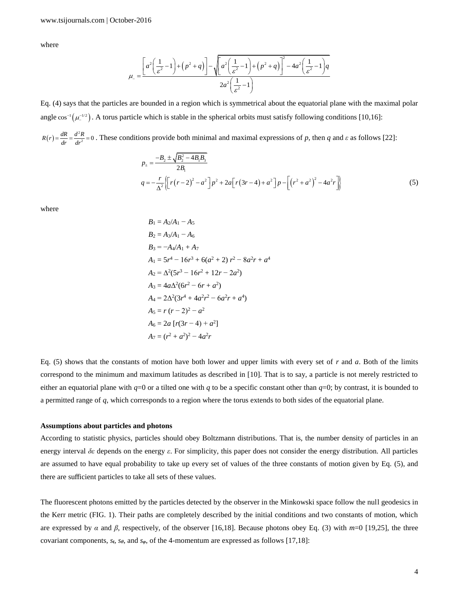where

$$
\mu_{-} = \frac{\left[a^2\left(\frac{1}{\varepsilon^2} - 1\right) + \left(p^2 + q\right)\right] - \sqrt{\left[a^2\left(\frac{1}{\varepsilon^2} - 1\right) + \left(p^2 + q\right)\right]^2 - 4a^2\left(\frac{1}{\varepsilon^2} - 1\right)q}}{2a^2\left(\frac{1}{\varepsilon^2} - 1\right)}
$$

Eq. (4) says that the particles are bounded in a region which is symmetrical about the equatorial plane with the maximal polar angle  $\cos^{-1}(\mu_{-}^{-1/2})$ . A torus particle which is stable in the spherical orbits must satisfy following conditions [10,16]:

 $(r) = \frac{dR}{dr} = \frac{d^2}{dr^2}$  $R(r) = \frac{dR}{dr} = \frac{d^2R}{dr^2} = 0$ . These conditions provide both minimal and maximal expressions of *p*, then *q* and *ε* as follows [22]:<br> $B = \frac{-B_2 \pm \sqrt{B_2^2 - 4B_1B_3}}{B_2^2}$ 

$$
p_{\pm} = \frac{-B_2 \pm \sqrt{B_2^2 - 4B_1B_3}}{2B_1}
$$
  
\n
$$
q = -\frac{r}{\Delta^2} \left\{ \left[ r(r-2)^2 - a^2 \right] p^2 + 2a \left[ r(3r-4) + a^2 \right] p - \left[ \left( r^2 + a^2 \right)^2 - 4a^2 r \right] \right\}
$$
\n(5)

where

$$
B_1 = A_2/A_1 - A_5
$$
  
\n
$$
B_2 = A_3/A_1 - A_6
$$
  
\n
$$
B_3 = -A_4/A_1 + A_7
$$
  
\n
$$
A_1 = 5r^4 - 16r^3 + 6(a^2 + 2) r^2 - 8a^2r + a^4
$$
  
\n
$$
A_2 = \Delta^2(5r^3 - 16r^2 + 12r - 2a^2)
$$
  
\n
$$
A_3 = 4a\Delta^2(6r^2 - 6r + a^2)
$$
  
\n
$$
A_4 = 2\Delta^2(3r^4 + 4a^2r^2 - 6a^2r + a^4)
$$
  
\n
$$
A_5 = r (r - 2)^2 - a^2
$$
  
\n
$$
A_6 = 2a [r(3r - 4) + a^2]
$$
  
\n
$$
A_7 = (r^2 + a^2)^2 - 4a^2r
$$

Eq. (5) shows that the constants of motion have both lower and upper limits with every set of *r* and *a*. Both of the limits correspond to the minimum and maximum latitudes as described in [10]. That is to say, a particle is not merely restricted to either an equatorial plane with  $q=0$  or a tilted one with *q* to be a specific constant other than  $q=0$ ; by contrast, it is bounded to a permitted range of *q*, which corresponds to a region where the torus extends to both sides of the equatorial plane.

#### **Assumptions about particles and photons**

According to statistic physics, particles should obey Boltzmann distributions. That is, the number density of particles in an energy interval *δε* depends on the energy *ε*. For simplicity, this paper does not consider the energy distribution. All particles are assumed to have equal probability to take up every set of values of the three constants of motion given by Eq. (5), and there are sufficient particles to take all sets of these values.

The fluorescent photons emitted by the particles detected by the observer in the Minkowski space follow the null geodesics in the Kerr metric (FIG. 1). Their paths are completely described by the initial conditions and two constants of motion, which are expressed by *α* and *β*, respectively, of the observer [16,18]. Because photons obey Eq. (3) with *m*=0 [19,25], the three covariant components, *st*, *sθ*, and *sφ*, of the 4-momentum are expressed as follows [17,18]: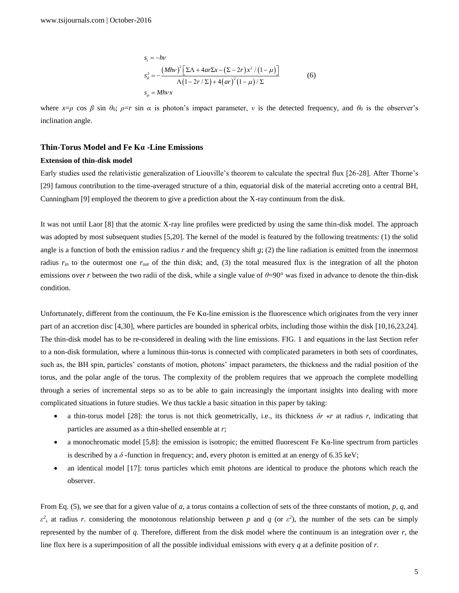$$
s_t = -h\nu
$$
  
\n
$$
s_\theta^2 = -\frac{(Mh\nu)^2 \left[\Sigma\Lambda + 4ar\Sigma x - (\Sigma - 2r)x^2/(1-\mu)\right]}{\Lambda(1-2r/\Sigma) + 4(ar)^2(1-\mu)/\Sigma}
$$
 (6)

where  $x = \rho \cos \beta \sin \theta_0$ ;  $\rho = r \sin \alpha$  is photon's impact parameter, *v* is the detected frequency, and  $\theta_0$  is the observer's inclination angle.

## **Thin-Torus Model and Fe Kα -Line Emissions**

# **Extension of thin-disk model**

Early studies used the relativistic generalization of Liouville's theorem to calculate the spectral flux [26-28]. After Thorne's [29] famous contribution to the time-averaged structure of a thin, equatorial disk of the material accreting onto a central BH, Cunningham [9] employed the theorem to give a prediction about the X-ray continuum from the disk.

It was not until Laor [8] that the atomic X-ray line profiles were predicted by using the same thin-disk model. The approach was adopted by most subsequent studies [5,20]. The kernel of the model is featured by the following treatments: (1) the solid angle is a function of both the emission radius  $r$  and the frequency shift  $g$ ; (2) the line radiation is emitted from the innermost radius *rin* to the outermost one *rout* of the thin disk; and, (3) the total measured flux is the integration of all the photon emissions over *r* between the two radii of the disk, while a single value of  $\theta = 90^\circ$  was fixed in advance to denote the thin-disk condition.

Unfortunately, different from the continuum, the Fe  $K\alpha$ -line emission is the fluorescence which originates from the very inner part of an accretion disc [4,30], where particles are bounded in spherical orbits, including those within the disk [10,16,23,24]. The thin-disk model has to be re-considered in dealing with the line emissions. FIG. 1 and equations in the last Section refer to a non-disk formulation, where a luminous thin-torus is connected with complicated parameters in both sets of coordinates, such as, the BH spin, particles' constants of motion, photons' impact parameters, the thickness and the radial position of the torus, and the polar angle of the torus. The complexity of the problem requires that we approach the complete modelling through a series of incremental steps so as to be able to gain increasingly the important insights into dealing with more complicated situations in future studies. We thus tackle a basic situation in this paper by taking:

- a thin-torus model [28]: the torus is not thick geometrically, i.e., its thickness *δr* «*r* at radius *r*, indicating that particles are assumed as a thin-shelled ensemble at *r*;
- a monochromatic model [5,8]: the emission is isotropic; the emitted fluorescent Fe Kα-line spectrum from particles is described by a  $\delta$ -function in frequency; and, every photon is emitted at an energy of 6.35 keV;
- an identical model [17]: torus particles which emit photons are identical to produce the photons which reach the observer.

From Eq. (5), we see that for a given value of *a*, a torus contains a collection of sets of the three constants of motion, *p*, *q*, and  $\varepsilon^2$ , at radius *r*. considering the monotonous relationship between *p* and *q* (or  $\varepsilon^2$ ), the number of the sets can be simply represented by the number of *q*. Therefore, different from the disk model where the continuum is an integration over *r*, the line flux here is a superimposition of all the possible individual emissions with every *q* at a definite position of *r*.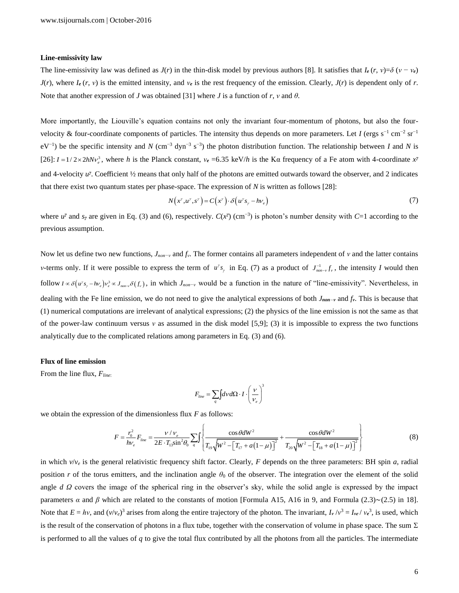## **Line-emissivity law**

The line-emissivity law was defined as  $J(r)$  in the thin-disk model by previous authors [8]. It satisfies that  $I_e(r, v) = \delta (v - v_e)$  $J(r)$ , where  $I_e(r, v)$  is the emitted intensity, and  $v_e$  is the rest frequency of the emission. Clearly,  $J(r)$  is dependent only of *r*. Note that another expression of *J* was obtained [31] where *J* is a function of *r*, *v* and  $\theta$ .

More importantly, the Liouville's equation contains not only the invariant four-momentum of photons, but also the fourvelocity & four-coordinate components of particles. The intensity thus depends on more parameters. Let *I* (ergs s<sup>-1</sup> cm<sup>-2</sup> sr<sup>-1</sup> eV<sup>-1</sup>) be the specific intensity and *N* (cm<sup>-3</sup> dyn<sup>-3</sup> s<sup>-3</sup>) the photon distribution function. The relationship between *I* and *N* is [26]:  $I = 1/2 \times 2hNv_e^3$ , where *h* is the Planck constant,  $v_e = 6.35$  keV/*h* is the Kα frequency of a Fe atom with 4-coordinate  $x^7$ and 4-velocity  $u^{\gamma}$ . Coefficient 1/2 means that only half of the photons are emitted outwards toward the observer, and 2 indicates that there exist two quantum states per phase-space. The expression of *N* is written as follows [28]:

$$
N(x^{\gamma}, u^{\gamma}, s^{\gamma}) = C(x^{\gamma}) \cdot \delta(u^{\gamma}s_{\gamma} - h\nu_{e})
$$
\n<sup>(7)</sup>

where  $u^{\gamma}$  and  $s_{\gamma}$  are given in Eq. (3) and (6), respectively.  $C(x^{\gamma})$  (cm<sup>-3</sup>) is photon's number density with  $C=1$  according to the previous assumption.

Now let us define two new functions, *Jnon−ν* and *fν*. The former contains all parameters independent of *ν* and the latter contains *v*-terms only. If it were possible to express the term of  $u^{\gamma} s_{\gamma}$  in Eq. (7) as a product of  $J_{non-\nu}^{-1} f_{\nu}$ , the intensity *I* would then follow  $I \propto \delta(u^{\gamma} s_{\gamma} - h v_{e}) v_{e}^{3} \propto J_{non-\nu} \delta(f_{\nu})$ , in which  $J_{non-\nu}$  would be a function in the nature of "line-emissivity". Nevertheless, in dealing with the Fe line emission, we do not need to give the analytical expressions of both *Jnon−<sup>ν</sup>* and *fν*. This is because that (1) numerical computations are irrelevant of analytical expressions; (2) the physics of the line emission is not the same as that of the power-law continuum versus *ν* as assumed in the disk model [5,9]; (3) it is impossible to express the two functions analytically due to the complicated relations among parameters in Eq. (3) and (6).

#### **Flux of line emission**

From the line flux, *Fline*:

$$
F_{line} = \sum_{q} \int dv d\Omega \cdot I \cdot \left(\frac{v}{v_e}\right)^3
$$

we obtain the expression of the dimensionless flux F as follows:  
\n
$$
F = \frac{r_0^2}{h v_e} F_{line} = \frac{v/v_e}{2E \cdot T_{13} \sin^2 \theta_0} \sum_q \int \left\{ \frac{\cos \theta dW^2}{T_{19} \sqrt{W^2 - [T_{17} + a(1 - \mu)]^2}} + \frac{\cos \theta dW^2}{T_{20} \sqrt{W^2 - [T_{18} + a(1 - \mu)]^2}} \right\}
$$
\n(8)

in which  $v/v_e$  is the general relativistic frequency shift factor. Clearly, F depends on the three parameters: BH spin *a*, radial position *r* of the torus emitters, and the inclination angle  $\theta_0$  of the observer. The integration over the element of the solid angle *d Ω* covers the image of the spherical ring in the observer's sky, while the solid angle is expressed by the impact parameters *α* and *β* which are related to the constants of motion [Formula A15, A16 in 9, and Formula (2.3)∼(2.5) in 18]. Note that  $E = hv$ , and  $(v/v_e)^3$  arises from along the entire trajectory of the photon. The invariant,  $I_v/v^3 = I_{ve}/v_e^3$ , is used, which is the result of the conservation of photons in a flux tube, together with the conservation of volume in phase space. The sum  $\Sigma$ is performed to all the values of *q* to give the total flux contributed by all the photons from all the particles. The intermediate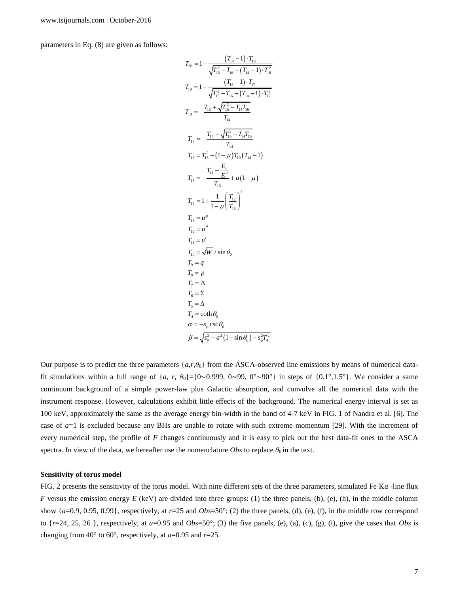parameters in Eq. (8) are given as follows:

$$
T_{20} = 1 - \frac{(T_{14} - 1) \cdot T_{18}}{\sqrt{T_{15}^2 - T_{16} - (T_{14} - 1) \cdot T_{17}^2}}
$$
  
\n
$$
T_{19} = 1 - \frac{(T_{14} - 1) \cdot T_{17}}{\sqrt{T_{15}^2 - T_{16} - (T_{14} - 1) \cdot T_{17}^2}}
$$
  
\n
$$
T_{18} = -\frac{T_{15} + \sqrt{T_{15}^2 - T_{14}T_{16}}}{T_{14}}
$$
  
\n
$$
T_{17} = -\frac{T_{15} - \sqrt{T_{15}^2 - T_{14}T_{16}}}{T_{14}}
$$
  
\n
$$
T_{16} = T_{15}^2 - (1 - \mu)T_{10}(T_{14} - 1)
$$
  
\n
$$
T_{15} = -\frac{T_{11} + \frac{E_e}{E^2}}{T_{13}} + a(1 - \mu)
$$
  
\n
$$
T_{14} = 1 + \frac{1}{1 - \mu} \left(\frac{T_{12}}{T_{13}}\right)^2
$$
  
\n
$$
T_{13} = u^{\varphi}
$$
  
\n
$$
T_{12} = u^{\theta}
$$
  
\n
$$
T_{11} = u^t
$$
  
\n
$$
T_{10} = \sqrt{W} / \sin \theta_0
$$
  
\n
$$
T_{9} = q
$$
  
\n
$$
T_{8} = p
$$
  
\n
$$
T_{7} = \Lambda
$$
  
\n
$$
T_{6} = \Sigma
$$
  
\n
$$
T_{5} = \Delta
$$
  
\n
$$
T_{4} = \coth \theta_0
$$
  
\n
$$
\alpha = -s_{\varphi} \csc \theta_0
$$
  
\n
$$
\beta = \sqrt{s_{\varphi}^2 + a^2 (1 - \sin \theta_0) - s_{\varphi}^2 T_{4}^2}
$$

Our purpose is to predict the three parameters {*a*,*r*,*θ*0} from the ASCA-observed line emissions by means of numerical datafit simulations within a full range of  $\{a, r, \theta_0\}$ ={0∼0.999, 0∼99, 0°∼90°} in steps of  $\{0.1^\circ, 1.5^\circ\}$ . We consider a same continuum background of a simple power-law plus Galactic absorption, and convolve all the numerical data with the instrument response. However, calculations exhibit little effects of the background. The numerical energy interval is set as 100 keV, approximately the same as the average energy bin-width in the band of 4-7 keV in FIG. 1 of Nandra et al. [6]. The case of  $a=1$  is excluded because any BHs are unable to rotate with such extreme momentum [29]. With the increment of every numerical step, the profile of *F* changes continuously and it is easy to pick out the best data-fit ones to the ASCA spectra. In view of the data, we hereafter use the nomenclature *Obs* to replace  $\theta_0$  in the text.

#### **Sensitivity of torus model**

FIG. 2 presents the sensitivity of the torus model. With nine different sets of the three parameters, simulated Fe K $\alpha$ -line flux *F* versus the emission energy  $E$  (keV) are divided into three groups: (1) the three panels, (b), (e), (h), in the middle column show  $\{a=0.9, 0.95, 0.99\}$ , respectively, at  $r=25$  and  $Obs=50^\circ$ ; (2) the three panels, (d), (e), (f), in the middle row correspond to  $\{r=24, 25, 26\}$ , respectively, at  $a=0.95$  and  $Obs=50^\circ$ ; (3) the five panels, (e), (a), (c), (g), (i), give the cases that *Obs* is changing from 40 $\degree$  to 60 $\degree$ , respectively, at *a*=0.95 and *r*=25.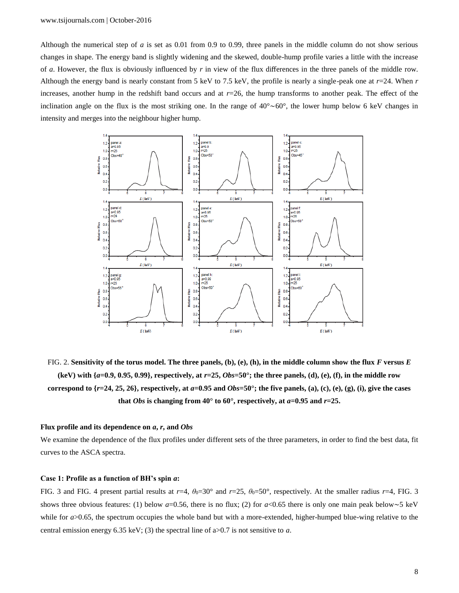Although the numerical step of *a* is set as 0.01 from 0.9 to 0.99, three panels in the middle column do not show serious changes in shape. The energy band is slightly widening and the skewed, double-hump profile varies a little with the increase of *a*. However, the flux is obviously influenced by *r* in view of the flux differences in the three panels of the middle row. Although the energy band is nearly constant from 5 keV to 7.5 keV, the profile is nearly a single-peak one at *r*=24. When *r* increases, another hump in the redshift band occurs and at *r*=26, the hump transforms to another peak. The effect of the inclination angle on the flux is the most striking one. In the range of 40°∼60°, the lower hump below 6 keV changes in intensity and merges into the neighbour higher hump.



FIG. 2. **Sensitivity of the torus model. The three panels, (b), (e), (h), in the middle column show the flux** *F* **versus** *E* (keV) with  $\{a=0.9, 0.95, 0.99\}$ , respectively, at  $r=25$ ,  $Obs=50^\circ$ ; the three panels, (d), (e), (f), in the middle row **correspond to**  $\{r=24, 25, 26\}$ **, respectively, at**  $a=0.95$  **and**  $Obs=50^\circ$ **; the five panels, (a), (c), (e), (g), (i), give the cases that** *Obs* **is changing from 40** $^{\circ}$  **to 60** $^{\circ}$ **, respectively, at**  $a=0.95$  **and**  $r=25$ **.** 

#### **Flux profile and its dependence on** *a***,** *r***, and** *Obs*

We examine the dependence of the flux profiles under different sets of the three parameters, in order to find the best data, fit curves to the ASCA spectra.

## **Case 1: Profile as a function of BH's spin** *a***:**

FIG. 3 and FIG. 4 present partial results at  $r=4$ ,  $\theta_0=30^\circ$  and  $r=25$ ,  $\theta_0=50^\circ$ , respectively. At the smaller radius  $r=4$ , FIG. 3 shows three obvious features: (1) below *a*=0.56, there is no flux; (2) for *a*<0.65 there is only one main peak below∼5 keV while for *a*>0.65, the spectrum occupies the whole band but with a more-extended, higher-humped blue-wing relative to the central emission energy 6.35 keV; (3) the spectral line of a>0.7 is not sensitive to *a*.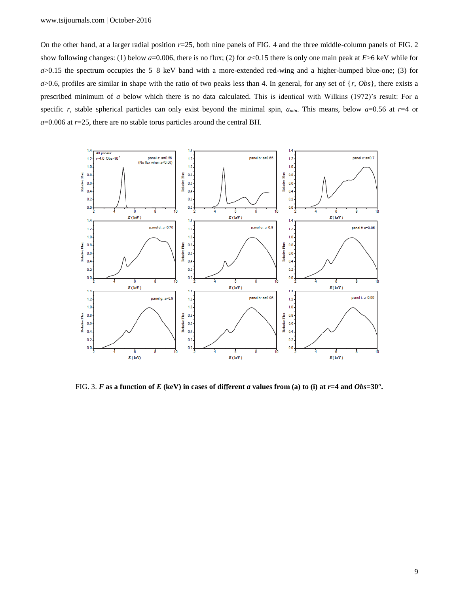On the other hand, at a larger radial position *r*=25, both nine panels of FIG. 4 and the three middle-column panels of FIG. 2 show following changes: (1) below *a*=0.006, there is no flux; (2) for *a*<0.15 there is only one main peak at *E*>6 keV while for *a*>0.15 the spectrum occupies the 5–8 keV band with a more-extended red-wing and a higher-humped blue-one; (3) for  $a$ >0.6, profiles are similar in shape with the ratio of two peaks less than 4. In general, for any set of  $\{r, Obs\}$ , there exists a prescribed minimum of *a* below which there is no data calculated. This is identical with Wilkins (1972)'s result: For a specific *r*, stable spherical particles can only exist beyond the minimal spin,  $a_{min}$ . This means, below  $a=0.56$  at  $r=4$  or *a*=0.006 at *r*=25, there are no stable torus particles around the central BH.



FIG. 3. *F* as a function of *E* (keV) in cases of different *a* values from (a) to (i) at  $r=4$  and  $Obs=30^\circ$ .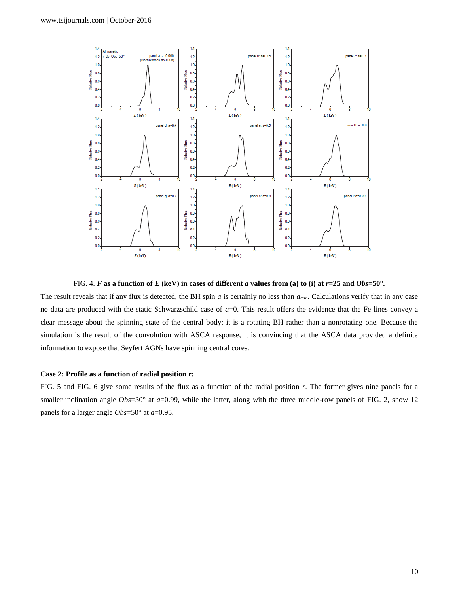

FIG. 4. *F* as a function of *E* (keV) in cases of different *a* values from (a) to (i) at  $r=25$  and  $Obs=50^\circ$ .

The result reveals that if any flux is detected, the BH spin *a* is certainly no less than *amin*. Calculations verify that in any case no data are produced with the static Schwarzschild case of *a*=0. This result offers the evidence that the Fe lines convey a clear message about the spinning state of the central body: it is a rotating BH rather than a nonrotating one. Because the simulation is the result of the convolution with ASCA response, it is convincing that the ASCA data provided a definite information to expose that Seyfert AGNs have spinning central cores.

#### **Case 2: Profile as a function of radial position** *r***:**

FIG. 5 and FIG. 6 give some results of the flux as a function of the radial position *r*. The former gives nine panels for a smaller inclination angle *Obs*=30° at *a*=0.99, while the latter, along with the three middle-row panels of FIG. 2, show 12 panels for a larger angle *Obs*=50° at *a*=0.95.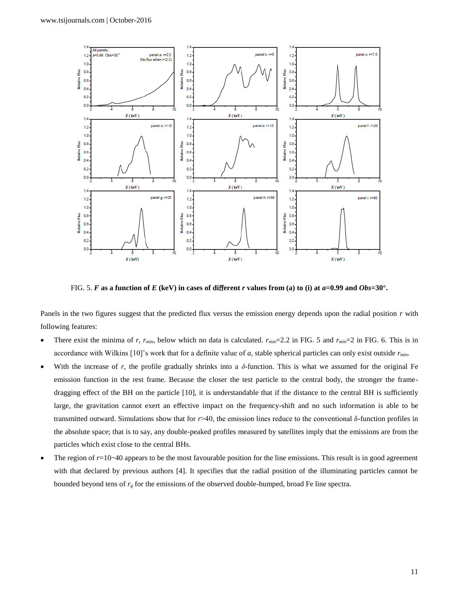

FIG. 5. *F* as a function of *E* (keV) in cases of different *r* values from (a) to (i) at  $a=0.99$  and  $Obs=30^\circ$ .

Panels in the two figures suggest that the predicted flux versus the emission energy depends upon the radial position *r* with following features:

- There exist the minima of *r*,  $r_{min}$ , below which no data is calculated.  $r_{min}=2.2$  in FIG. 5 and  $r_{min}=2$  in FIG. 6. This is in accordance with Wilkins [10]'s work that for a definite value of *a*, stable spherical particles can only exist outside *rmin*.
- With the increase of r, the profile gradually shrinks into a  $\delta$ -function. This is what we assumed for the original Fe emission function in the rest frame. Because the closer the test particle to the central body, the stronger the framedragging effect of the BH on the particle [10], it is understandable that if the distance to the central BH is sufficiently large, the gravitation cannot exert an effective impact on the frequency-shift and no such information is able to be transmitted outward. Simulations show that for *r*>40, the emission lines reduce to the conventional δ-function profiles in the absolute space; that is to say, any double-peaked profiles measured by satellites imply that the emissions are from the particles which exist close to the central BHs.
- The region of  $r=10-40$  appears to be the most favourable position for the line emissions. This result is in good agreement with that declared by previous authors [4]. It specifies that the radial position of the illuminating particles cannot be bounded beyond tens of *r<sup>g</sup>* for the emissions of the observed double-humped, broad Fe line spectra.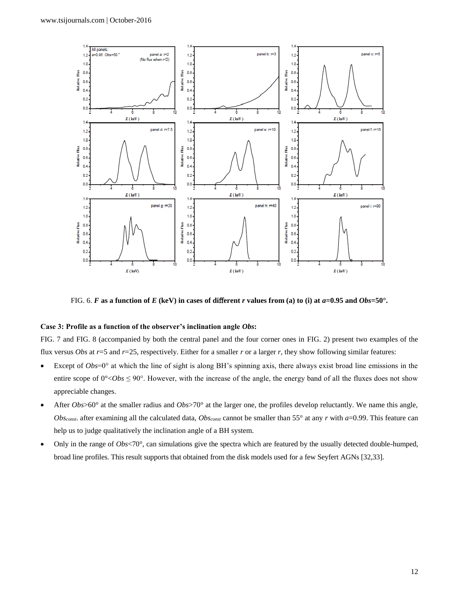

FIG. 6. *F* as a function of *E* (keV) in cases of different *r* values from (a) to (i) at  $a=0.95$  and  $Obs=50^\circ$ .

# **Case 3: Profile as a function of the observer's inclination angle** *Obs***:**

FIG. 7 and FIG. 8 (accompanied by both the central panel and the four corner ones in FIG. 2) present two examples of the flux versus *Obs* at *r*=5 and *r*=25, respectively. Either for a smaller *r* or a larger *r*, they show following similar features:

- Except of  $Obs=0^\circ$  at which the line of sight is along BH's spinning axis, there always exist broad line emissions in the entire scope of  $0^{\circ}$ <*Obs*  $\leq$  90°. However, with the increase of the angle, the energy band of all the fluxes does not show appreciable changes.
- After *Obs*>60° at the smaller radius and *Obs*>70° at the larger one, the profiles develop reluctantly. We name this angle, *Obsconst*. after examining all the calculated data, *Obsconst* cannot be smaller than 55° at any *r* with *a*=0.99. This feature can help us to judge qualitatively the inclination angle of a BH system.
- Only in the range of *Obs*<70°, can simulations give the spectra which are featured by the usually detected double-humped, broad line profiles. This result supports that obtained from the disk models used for a few Seyfert AGNs [32,33].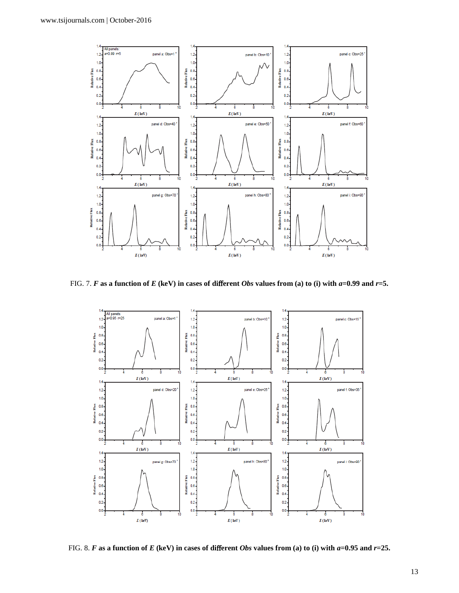

FIG. 7. *F* **as a function of** *E* **(keV) in cases of di**ff**erent** *Obs* **values from (a) to (i) with** *a***=0.99 and** *r***=5.**



FIG. 8. *F* as a function of *E* (keV) in cases of different *Obs* values from (a) to (i) with  $a=0.95$  and  $r=25$ .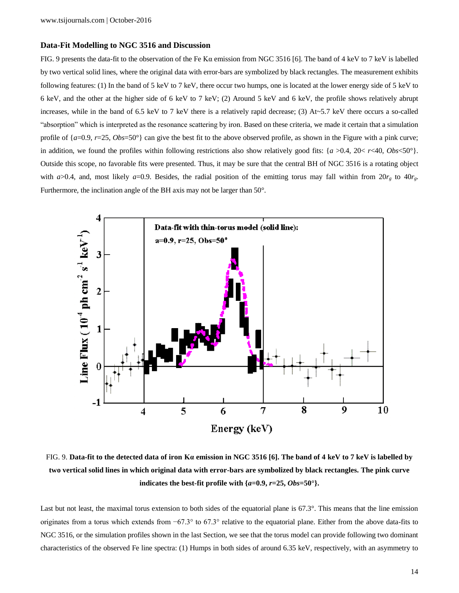## **Data-Fit Modelling to NGC 3516 and Discussion**

FIG. 9 presents the data-fit to the observation of the Fe Kα emission from NGC 3516 [6]. The band of 4 keV to 7 keV is labelled by two vertical solid lines, where the original data with error-bars are symbolized by black rectangles. The measurement exhibits following features: (1) In the band of 5 keV to 7 keV, there occur two humps, one is located at the lower energy side of 5 keV to 6 keV, and the other at the higher side of 6 keV to 7 keV; (2) Around 5 keV and 6 keV, the profile shows relatively abrupt increases, while in the band of 6.5 keV to 7 keV there is a relatively rapid decrease; (3) At~5.7 keV there occurs a so-called "absorption" which is interpreted as the resonance scattering by iron. Based on these criteria, we made it certain that a simulation profile of  ${a=0.9, r=25, Obs=50^{\circ}}$  can give the best fit to the above observed profile, as shown in the Figure with a pink curve; in addition, we found the profiles within following restrictions also show relatively good fits: {*a* >0.4, 20< *r*<40, *Obs*<50°}. Outside this scope, no favorable fits were presented. Thus, it may be sure that the central BH of NGC 3516 is a rotating object with  $a > 0.4$ , and, most likely  $a = 0.9$ . Besides, the radial position of the emitting torus may fall within from  $20r<sub>g</sub>$  to  $40r<sub>g</sub>$ . Furthermore, the inclination angle of the BH axis may not be larger than 50°.



FIG. 9. **Data-fit to the detected data of iron Kα emission in NGC 3516 [6]. The band of 4 keV to 7 keV is labelled by two vertical solid lines in which original data with error-bars are symbolized by black rectangles. The pink curve indicates the best-fit profile with**  $\{a=0.9, r=25, Obs=50^\circ\}$ **.** 

Last but not least, the maximal torus extension to both sides of the equatorial plane is 67.3°. This means that the line emission originates from a torus which extends from −67.3° to 67.3° relative to the equatorial plane. Either from the above data-fits to NGC 3516, or the simulation profiles shown in the last Section, we see that the torus model can provide following two dominant characteristics of the observed Fe line spectra: (1) Humps in both sides of around 6.35 keV, respectively, with an asymmetry to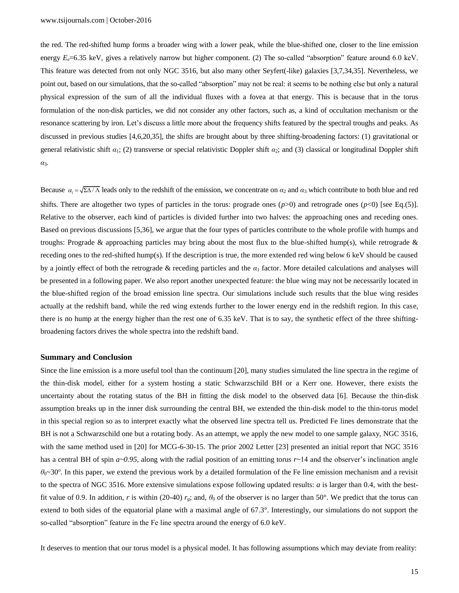the red. The red-shifted hump forms a broader wing with a lower peak, while the blue-shifted one, closer to the line emission energy  $E_e$ =6.35 keV, gives a relatively narrow but higher component. (2) The so-called "absorption" feature around 6.0 keV. This feature was detected from not only NGC 3516, but also many other Seyfert(-like) galaxies [3,7,34,35]. Nevertheless, we point out, based on our simulations, that the so-called "absorption" may not be real: it seems to be nothing else but only a natural physical expression of the sum of all the individual fluxes with a fovea at that energy. This is because that in the torus formulation of the non-disk particles, we did not consider any other factors, such as, a kind of occultation mechanism or the resonance scattering by iron. Let's discuss a little more about the frequency shifts featured by the spectral troughs and peaks. As discussed in previous studies [4,6,20,35], the shifts are brought about by three shifting-broadening factors: (1) gravitational or general relativistic shift *α*1; (2) transverse or special relativistic Doppler shift *α*2; and (3) classical or longitudinal Doppler shift *α*3.

Because  $\alpha_1 = \sqrt{\sum \Delta / \Lambda}$  leads only to the redshift of the emission, we concentrate on  $\alpha_2$  and  $\alpha_3$  which contribute to both blue and red shifts. There are altogether two types of particles in the torus: prograde ones  $(p>0)$  and retrograde ones  $(p<0)$  [see Eq.(5)]. Relative to the observer, each kind of particles is divided further into two halves: the approaching ones and receding ones. Based on previous discussions [5,36], we argue that the four types of particles contribute to the whole profile with humps and troughs: Prograde & approaching particles may bring about the most flux to the blue-shifted hump(s), while retrograde  $\&$ receding ones to the red-shifted hump(s). If the description is true, the more extended red wing below 6 keV should be caused by a jointly effect of both the retrograde & receding particles and the *α*<sup>1</sup> factor. More detailed calculations and analyses will be presented in a following paper. We also report another unexpected feature: the blue wing may not be necessarily located in the blue-shifted region of the broad emission line spectra. Our simulations include such results that the blue wing resides actually at the redshift band, while the red wing extends further to the lower energy end in the redshift region. In this case, there is no hump at the energy higher than the rest one of 6.35 keV. That is to say, the synthetic effect of the three shiftingbroadening factors drives the whole spectra into the redshift band.

## **Summary and Conclusion**

Since the line emission is a more useful tool than the continuum [20], many studies simulated the line spectra in the regime of the thin-disk model, either for a system hosting a static Schwarzschild BH or a Kerr one. However, there exists the uncertainty about the rotating status of the BH in fitting the disk model to the observed data [6]. Because the thin-disk assumption breaks up in the inner disk surrounding the central BH, we extended the thin-disk model to the thin-torus model in this special region so as to interpret exactly what the observed line spectra tell us. Predicted Fe lines demonstrate that the BH is not a Schwarzschild one but a rotating body. As an attempt, we apply the new model to one sample galaxy, NGC 3516, with the same method used in [20] for MCG-6-30-15. The prior 2002 Letter [23] presented an initial report that NGC 3516 has a central BH of spin  $a \sim 0.95$ , along with the radial position of an emitting torus  $r \sim 14$  and the observer's inclination angle  $\theta_0$ ~30°. In this paper, we extend the previous work by a detailed formulation of the Fe line emission mechanism and a revisit to the spectra of NGC 3516. More extensive simulations expose following updated results:  $a$  is larger than 0.4, with the bestfit value of 0.9. In addition, *r* is within (20-40)  $r_g$ ; and,  $\theta_0$  of the observer is no larger than 50°. We predict that the torus can extend to both sides of the equatorial plane with a maximal angle of 67.3°. Interestingly, our simulations do not support the so-called "absorption" feature in the Fe line spectra around the energy of 6.0 keV.

It deserves to mention that our torus model is a physical model. It has following assumptions which may deviate from reality: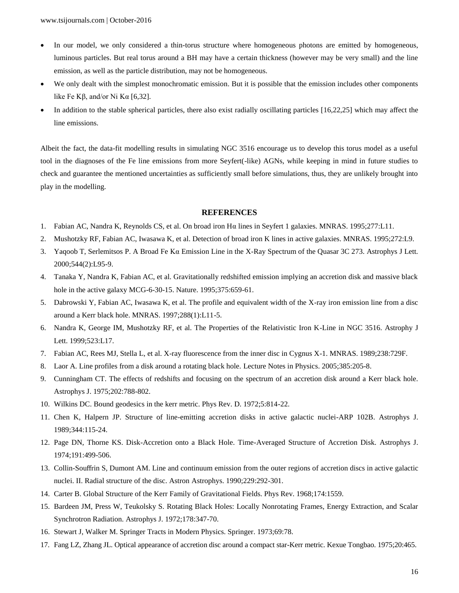- In our model, we only considered a thin-torus structure where homogeneous photons are emitted by homogeneous, luminous particles. But real torus around a BH may have a certain thickness (however may be very small) and the line emission, as well as the particle distribution, may not be homogeneous.
- We only dealt with the simplest monochromatic emission. But it is possible that the emission includes other components like Fe Kβ, and/or Ni Kα [6,32].
- In addition to the stable spherical particles, there also exist radially oscillating particles [16,22,25] which may affect the line emissions.

Albeit the fact, the data-fit modelling results in simulating NGC 3516 encourage us to develop this torus model as a useful tool in the diagnoses of the Fe line emissions from more Seyfert(-like) AGNs, while keeping in mind in future studies to check and guarantee the mentioned uncertainties as sufficiently small before simulations, thus, they are unlikely brought into play in the modelling.

## **REFERENCES**

- 1. Fabian AC, Nandra K, Reynolds CS, et al. On broad iron Hα lines in Seyfert 1 galaxies. MNRAS. 1995;277:L11.
- 2. Mushotzky RF, Fabian AC, Iwasawa K, et al. Detection of broad iron K lines in active galaxies. MNRAS. 1995;272:L9.
- 3. Yaqoob T, Serlemitsos P. A Broad Fe Kα Emission Line in the X-Ray Spectrum of the Quasar 3C 273. Astrophys J Lett. 2000;544(2):L95-9.
- 4. Tanaka Y, Nandra K, Fabian AC, et al. Gravitationally redshifted emission implying an accretion disk and massive black hole in the active galaxy MCG-6-30-15. Nature. 1995;375:659-61.
- 5. Dabrowski Y, Fabian AC, Iwasawa K, et al. The profile and equivalent width of the X-ray iron emission line from a disc around a Kerr black hole. MNRAS. 1997;288(1):L11-5.
- 6. Nandra K, George IM, Mushotzky RF, et al. The Properties of the Relativistic Iron K-Line in NGC 3516. Astrophy J Lett. 1999;523:L17.
- 7. Fabian AC, Rees MJ, Stella L, et al. X-ray fluorescence from the inner disc in Cygnus X-1. MNRAS. 1989;238:729F.
- 8. Laor A. Line profiles from a disk around a rotating black hole. Lecture Notes in Physics. 2005;385:205-8.
- 9. Cunningham CT. The effects of redshifts and focusing on the spectrum of an accretion disk around a Kerr black hole. Astrophys J. 1975;202:788-802.
- 10. Wilkins DC. Bound geodesics in the kerr metric. Phys Rev. D. 1972;5:814-22.
- 11. Chen K, Halpern JP. Structure of line-emitting accretion disks in active galactic nuclei-ARP 102B. Astrophys J. 1989;344:115-24.
- 12. Page DN, Thorne KS. Disk-Accretion onto a Black Hole. Time-Averaged Structure of Accretion Disk. Astrophys J. 1974;191:499-506.
- 13. Collin-Souffrin S, Dumont AM. Line and continuum emission from the outer regions of accretion discs in active galactic nuclei. II. Radial structure of the disc. Astron Astrophys. 1990;229:292-301.
- 14. Carter B. Global Structure of the Kerr Family of Gravitational Fields. Phys Rev. 1968;174:1559.
- 15. Bardeen JM, Press W, Teukolsky S. Rotating Black Holes: Locally Nonrotating Frames, Energy Extraction, and Scalar Synchrotron Radiation. Astrophys J. 1972;178:347-70.
- 16. Stewart J, Walker M. Springer Tracts in Modern Physics. Springer. 1973;69:78.
- 17. Fang LZ, Zhang JL. Optical appearance of accretion disc around a compact star-Kerr metric. Kexue Tongbao. 1975;20:465.